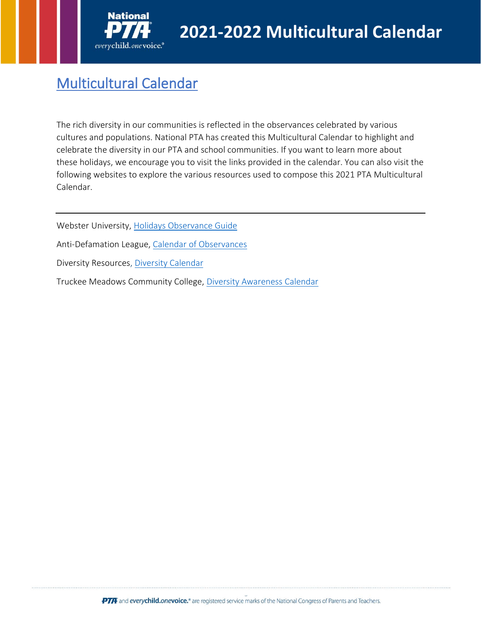

# Multicultural Calendar

The rich diversity in our communities is reflected in the observances celebrated by various cultures and populations. National PTA has created this Multicultural Calendar to highlight and celebrate the diversity in our PTA and school communities. If you want to learn more about these holidays, we encourage you to visit the links provided in the calendar. You can also visit the following websites to explore the various resources used to compose this 2021 PTA Multicultural Calendar.

Webster University, [Holidays Observance Guide](https://libguides.webster.edu/c.php?g=98058&p=6623030)

Anti-Defamation League, [Calendar of Observances](https://www.adl.org/media/14060/download)

Diversity Resources, [Diversity Calendar](https://www.diversityresources.com/2020-diversity-calendar/)

Truckee Meadows Community College, [Diversity Awareness Calendar](https://www.tmcc.edu/diversity/awareness-calendar)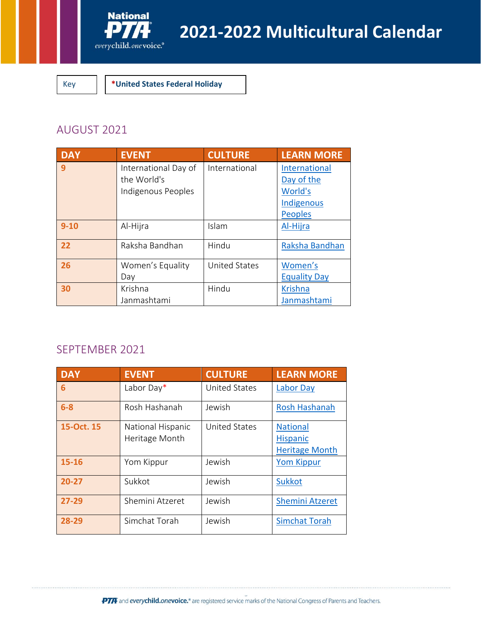

Key **\*United States Federal Holiday**

# AUGUST 2021

| <b>DAY</b> | <b>EVENT</b>         | <b>CULTURE</b>       | <b>LEARN MORE</b>   |
|------------|----------------------|----------------------|---------------------|
| 9          | International Day of | International        | International       |
|            | the World's          |                      | Day of the          |
|            | Indigenous Peoples   |                      | World's             |
|            |                      |                      | Indigenous          |
|            |                      |                      | <b>Peoples</b>      |
| $9 - 10$   | Al-Hijra             | Islam                | Al-Hijra            |
| 22         | Raksha Bandhan       | Hindu                | Raksha Bandhan      |
| 26         | Women's Equality     | <b>United States</b> | Women's             |
|            | Day                  |                      | <b>Equality Day</b> |
| 30         | Krishna              | Hindu                | <b>Krishna</b>      |
|            | Janmashtami          |                      | Janmashtami         |

# SEPTEMBER 2021

| <b>DAY</b> | <b>EVENT</b>                        | <b>CULTURE</b>       | <b>LEARN MORE</b>                                           |
|------------|-------------------------------------|----------------------|-------------------------------------------------------------|
| 6          | Labor Day*                          | <b>United States</b> | <b>Labor Day</b>                                            |
| $6-8$      | Rosh Hashanah                       | Jewish               | <b>Rosh Hashanah</b>                                        |
| 15-Oct. 15 | National Hispanic<br>Heritage Month | <b>United States</b> | <b>National</b><br><b>Hispanic</b><br><b>Heritage Month</b> |
| $15 - 16$  | Yom Kippur                          | Jewish               | <b>Yom Kippur</b>                                           |
| $20 - 27$  | Sukkot                              | Jewish               | <b>Sukkot</b>                                               |
| $27 - 29$  | Shemini Atzeret                     | Jewish               | <b>Shemini Atzeret</b>                                      |
| 28-29      | Simchat Torah                       | Jewish               | <b>Simchat Torah</b>                                        |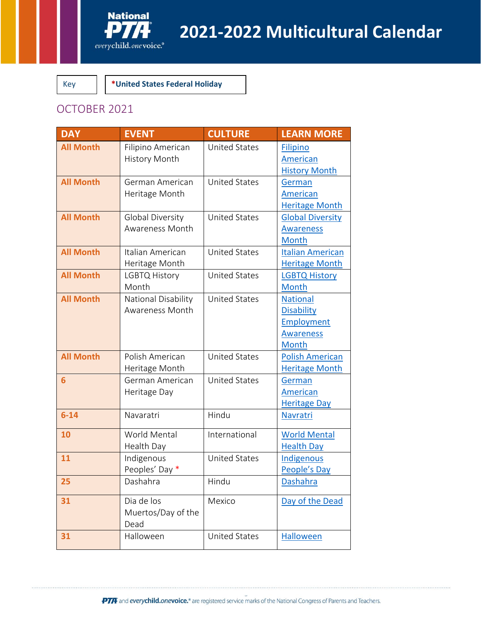

Key **\*United States Federal Holiday**

# OCTOBER 2021

| <b>DAY</b>       | <b>EVENT</b>            | <b>CULTURE</b>       | <b>LEARN MORE</b>                |
|------------------|-------------------------|----------------------|----------------------------------|
| <b>All Month</b> | Filipino American       | <b>United States</b> | <b>Filipino</b>                  |
|                  | <b>History Month</b>    |                      | American                         |
|                  |                         |                      | <b>History Month</b>             |
| <b>All Month</b> | German American         | <b>United States</b> | German                           |
|                  | Heritage Month          |                      | American                         |
|                  |                         |                      | <b>Heritage Month</b>            |
| <b>All Month</b> | <b>Global Diversity</b> | <b>United States</b> | <b>Global Diversity</b>          |
|                  | Awareness Month         |                      | <b>Awareness</b>                 |
| <b>All Month</b> | Italian American        | <b>United States</b> | Month<br><b>Italian American</b> |
|                  | Heritage Month          |                      | <b>Heritage Month</b>            |
| <b>All Month</b> | <b>LGBTQ History</b>    | <b>United States</b> | <b>LGBTQ History</b>             |
|                  | Month                   |                      | <b>Month</b>                     |
| <b>All Month</b> | National Disability     | <b>United States</b> | <b>National</b>                  |
|                  | Awareness Month         |                      | <b>Disability</b>                |
|                  |                         |                      | Employment                       |
|                  |                         |                      | <b>Awareness</b>                 |
|                  |                         |                      | Month                            |
| <b>All Month</b> | Polish American         | <b>United States</b> | <b>Polish American</b>           |
|                  | Heritage Month          |                      | <b>Heritage Month</b>            |
| $6\phantom{1}$   | German American         | <b>United States</b> | German                           |
|                  | Heritage Day            |                      | American                         |
|                  |                         |                      | <b>Heritage Day</b>              |
| $6 - 14$         | Navaratri               | Hindu                | <b>Navratri</b>                  |
| 10               | World Mental            | International        | <b>World Mental</b>              |
|                  | Health Day              |                      | <b>Health Day</b>                |
| 11               | Indigenous              | <b>United States</b> | Indigenous                       |
|                  | Peoples' Day *          |                      | People's Day                     |
| 25               | Dashahra                | Hindu                | <b>Dashahra</b>                  |
| 31               | Dia de los              | Mexico               | Day of the Dead                  |
|                  | Muertos/Day of the      |                      |                                  |
|                  | Dead                    |                      |                                  |
| 31               | Halloween               | <b>United States</b> | <b>Halloween</b>                 |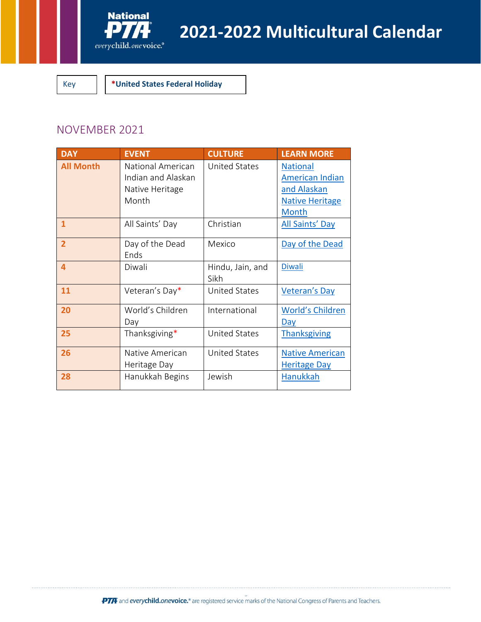

Key **\*United States Federal Holiday**

## NOVEMBER 2021

| <b>DAY</b>       | <b>EVENT</b>                                                        | <b>CULTURE</b>           | <b>LEARN MORE</b>                                                                                  |
|------------------|---------------------------------------------------------------------|--------------------------|----------------------------------------------------------------------------------------------------|
| <b>All Month</b> | National American<br>Indian and Alaskan<br>Native Heritage<br>Month | <b>United States</b>     | <b>National</b><br><b>American Indian</b><br>and Alaskan<br><b>Native Heritage</b><br><b>Month</b> |
| $\mathbf{1}$     | All Saints' Day                                                     | Christian                | All Saints' Day                                                                                    |
| $\overline{2}$   | Day of the Dead<br>Ends                                             | Mexico                   | Day of the Dead                                                                                    |
| 4                | Diwali                                                              | Hindu, Jain, and<br>Sikh | <b>Diwali</b>                                                                                      |
| 11               | Veteran's Day*                                                      | <b>United States</b>     | <b>Veteran's Day</b>                                                                               |
| 20               | World's Children<br>Day                                             | International            | <b>World's Children</b><br><b>Day</b>                                                              |
| 25               | Thanksgiving*                                                       | <b>United States</b>     | <b>Thanksgiving</b>                                                                                |
| 26               | Native American<br>Heritage Day                                     | <b>United States</b>     | <b>Native American</b><br><b>Heritage Day</b>                                                      |
| 28               | Hanukkah Begins                                                     | Jewish                   | <b>Hanukkah</b>                                                                                    |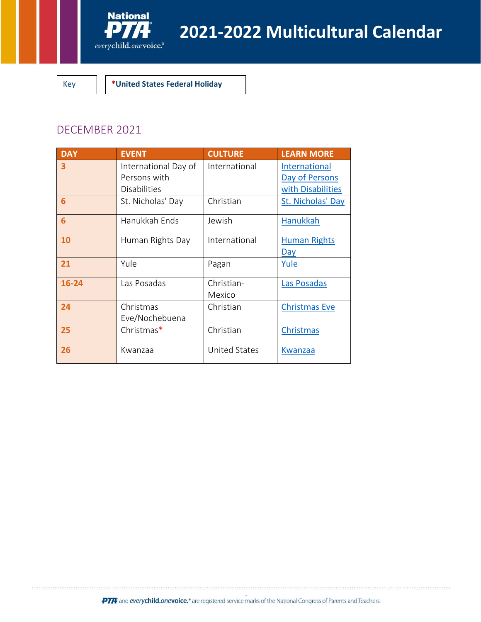

Key **\*United States Federal Holiday**

## DECEMBER 2021

| <b>DAY</b> | <b>EVENT</b>                                                | <b>CULTURE</b>       | <b>LEARN MORE</b>                                    |
|------------|-------------------------------------------------------------|----------------------|------------------------------------------------------|
| 3          | International Day of<br>Persons with<br><b>Disabilities</b> | International        | International<br>Day of Persons<br>with Disabilities |
| 6          | St. Nicholas' Day                                           | Christian            | St. Nicholas' Day                                    |
| 6          | Hanukkah Ends                                               | Jewish               | <b>Hanukkah</b>                                      |
| 10         | Human Rights Day                                            | International        | <b>Human Rights</b><br><u>Day</u>                    |
| 21         | Yule                                                        | Pagan                | Yule                                                 |
| 16-24      | Las Posadas                                                 | Christian-<br>Mexico | Las Posadas                                          |
| 24         | Christmas<br>Eve/Nochebuena                                 | Christian            | <b>Christmas Eve</b>                                 |
| 25         | Christmas*                                                  | Christian            | <b>Christmas</b>                                     |
| 26         | Kwanzaa                                                     | <b>United States</b> | Kwanzaa                                              |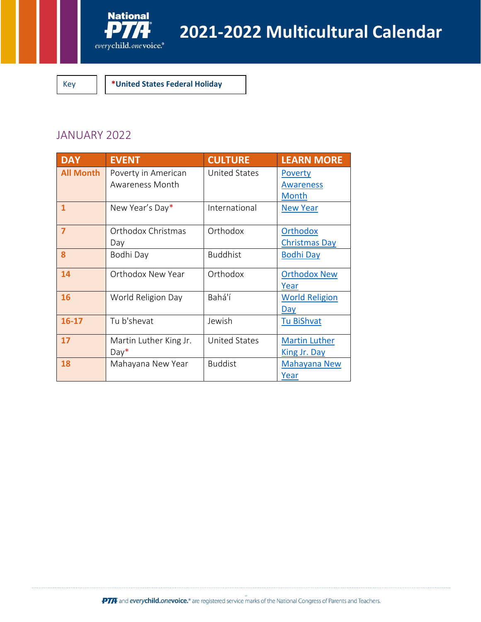

Key **\*United States Federal Holiday**

#### JANUARY 2022

| <b>DAY</b>       | <b>EVENT</b>                           | <b>CULTURE</b>       | <b>LEARN MORE</b>                       |
|------------------|----------------------------------------|----------------------|-----------------------------------------|
| <b>All Month</b> | Poverty in American<br>Awareness Month | <b>United States</b> | Poverty<br><b>Awareness</b><br>Month    |
| 1                | New Year's Day*                        | International        | <b>New Year</b>                         |
| $\overline{7}$   | Orthodox Christmas<br>Day              | Orthodox             | <b>Orthodox</b><br><b>Christmas Day</b> |
| 8                | Bodhi Day                              | <b>Buddhist</b>      | <b>Bodhi Day</b>                        |
| 14               | Orthodox New Year                      | Orthodox             | <b>Orthodox New</b><br>Year             |
| 16               | World Religion Day                     | Bahá'í               | <b>World Religion</b><br><u>Day</u>     |
| $16 - 17$        | Tu b'shevat                            | Jewish               | <b>Tu BiShvat</b>                       |
| 17               | Martin Luther King Jr.<br>$Day*$       | <b>United States</b> | <b>Martin Luther</b><br>King Jr. Day    |
| 18               | Mahayana New Year                      | <b>Buddist</b>       | Mahayana New<br>Year                    |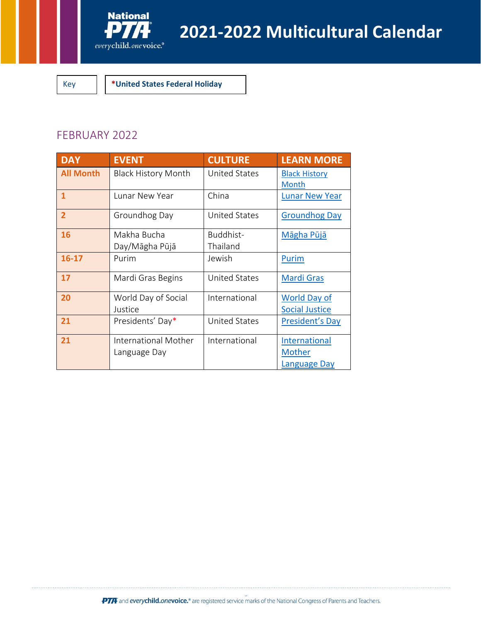

Key **\*United States Federal Holiday**

#### FEBRUARY 2022

| <b>DAY</b>       | <b>EVENT</b>                                | <b>CULTURE</b>        | <b>LEARN MORE</b>                            |
|------------------|---------------------------------------------|-----------------------|----------------------------------------------|
| <b>All Month</b> | <b>Black History Month</b>                  | United States         | <b>Black History</b><br>Month                |
| 1                | Lunar New Year                              | China                 | <b>Lunar New Year</b>                        |
| $\overline{2}$   | Groundhog Day                               | <b>United States</b>  | <b>Groundhog Day</b>                         |
| 16               | Makha Bucha<br>Day/Māgha Pūjā               | Buddhist-<br>Thailand | <b>Māgha Pūjā</b>                            |
| $16-17$          | Purim                                       | Jewish                | Purim                                        |
| 17               | Mardi Gras Begins                           | <b>United States</b>  | <b>Mardi Gras</b>                            |
| 20               | World Day of Social<br>Justice              | International         | <b>World Day of</b><br><b>Social Justice</b> |
| 21               | Presidents' Day*                            | <b>United States</b>  | President's Day                              |
| 21               | <b>International Mother</b><br>Language Day | International         | International<br>Mother<br>Language Day      |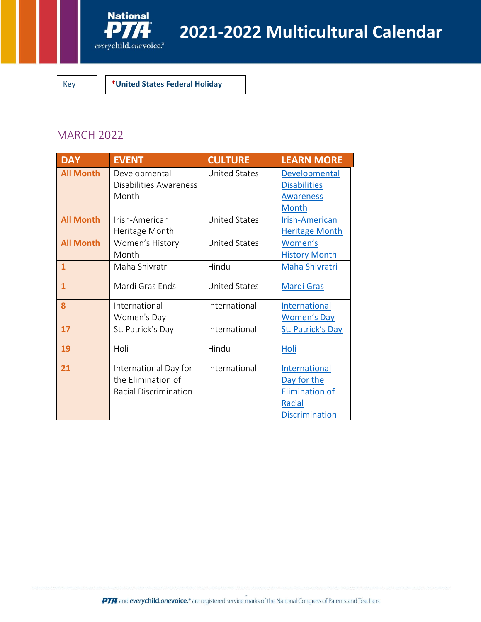

Key **\*United States Federal Holiday**

# MARCH 2022

| <b>DAY</b>       | <b>EVENT</b>                                                         | <b>CULTURE</b>       | <b>LEARN MORE</b>                                                                        |
|------------------|----------------------------------------------------------------------|----------------------|------------------------------------------------------------------------------------------|
| <b>All Month</b> | Developmental<br>Disabilities Awareness<br>Month                     | <b>United States</b> | <b>Developmental</b><br><b>Disabilities</b><br><b>Awareness</b><br><b>Month</b>          |
| <b>All Month</b> | Irish-American<br>Heritage Month                                     | <b>United States</b> | <b>Irish-American</b><br><b>Heritage Month</b>                                           |
| <b>All Month</b> | Women's History<br>Month                                             | <b>United States</b> | Women's<br><b>History Month</b>                                                          |
| $\overline{1}$   | Maha Shivratri                                                       | Hindu                | Maha Shivratri                                                                           |
| $\overline{1}$   | Mardi Gras Ends                                                      | <b>United States</b> | <b>Mardi Gras</b>                                                                        |
| 8                | International<br>Women's Day                                         | International        | <b>International</b><br><b>Women's Day</b>                                               |
| 17               | St. Patrick's Day                                                    | International        | St. Patrick's Day                                                                        |
| 19               | Holi                                                                 | Hindu                | Holi                                                                                     |
| 21               | International Day for<br>the Elimination of<br>Racial Discrimination | International        | International<br>Day for the<br><b>Elimination of</b><br>Racial<br><b>Discrimination</b> |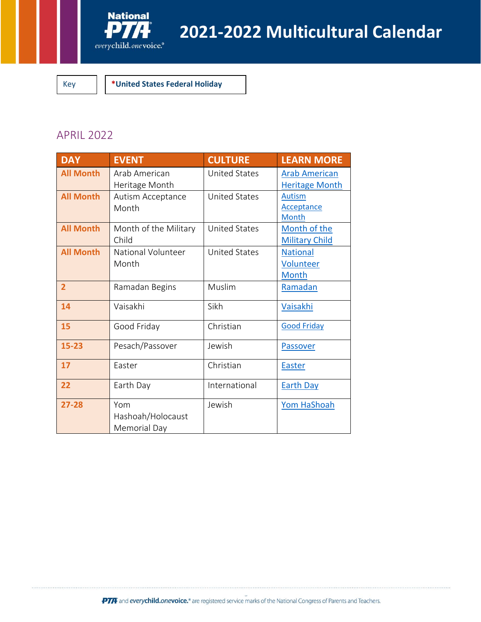

Key **\*United States Federal Holiday**

## APRIL 2022

| <b>DAY</b>       | <b>EVENT</b>                             | <b>CULTURE</b>       | <b>LEARN MORE</b>                             |
|------------------|------------------------------------------|----------------------|-----------------------------------------------|
| <b>All Month</b> | Arab American<br>Heritage Month          | <b>United States</b> | <b>Arab American</b><br><b>Heritage Month</b> |
| <b>All Month</b> | Autism Acceptance<br>Month               | <b>United States</b> | <b>Autism</b><br><b>Acceptance</b><br>Month   |
| <b>All Month</b> | Month of the Military<br>Child           | <b>United States</b> | Month of the<br><b>Military Child</b>         |
| <b>All Month</b> | National Volunteer<br>Month              | <b>United States</b> | <b>National</b><br>Volunteer<br>Month         |
| $\overline{2}$   | Ramadan Begins                           | Muslim               | Ramadan                                       |
| 14               | Vaisakhi                                 | Sikh                 | Vaisakhi                                      |
| 15               | Good Friday                              | Christian            | <b>Good Friday</b>                            |
| $15 - 23$        | Pesach/Passover                          | Jewish               | Passover                                      |
| 17               | Easter                                   | Christian            | <b>Easter</b>                                 |
| 22               | Earth Day                                | International        | <b>Earth Day</b>                              |
| $27 - 28$        | Yom<br>Hashoah/Holocaust<br>Memorial Day | Jewish               | Yom HaShoah                                   |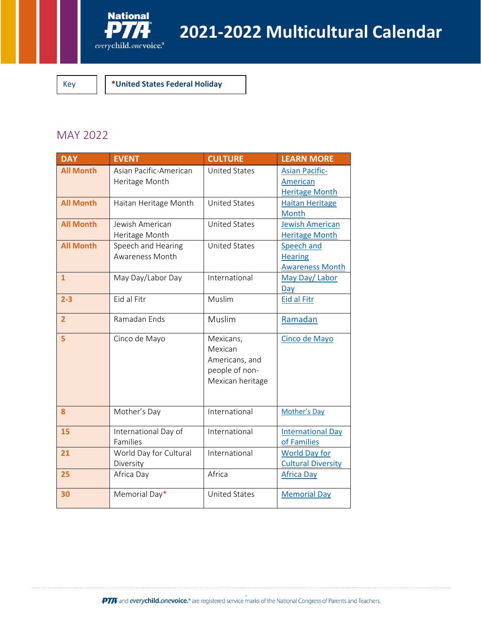

Key **\*United States Federal Holiday**

#### MAY 2022

| <b>DAY</b>       | <b>EVENT</b>                             | <b>CULTURE</b>                                                               | <b>LEARN MORE</b>                                          |
|------------------|------------------------------------------|------------------------------------------------------------------------------|------------------------------------------------------------|
| <b>All Month</b> | Asian Pacific-American<br>Heritage Month | <b>United States</b>                                                         | <b>Asian Pacific-</b><br>American<br><b>Heritage Month</b> |
| <b>All Month</b> | Haitan Heritage Month                    | <b>United States</b>                                                         | <b>Haitan Heritage</b><br>Month                            |
| <b>All Month</b> | Jewish American<br>Heritage Month        | <b>United States</b>                                                         | <b>Jewish American</b><br><b>Heritage Month</b>            |
| <b>All Month</b> | Speech and Hearing<br>Awareness Month    | <b>United States</b>                                                         | Speech and<br><b>Hearing</b><br><b>Awareness Month</b>     |
| $\overline{1}$   | May Day/Labor Day                        | International                                                                | May Day/ Labor<br>Day                                      |
| $2 - 3$          | Eid al Fitr                              | Muslim                                                                       | <b>Eid al Fitr</b>                                         |
| $\overline{2}$   | Ramadan Ends                             | Muslim                                                                       | Ramadan                                                    |
| 5                | Cinco de Mayo                            | Mexicans,<br>Mexican<br>Americans, and<br>people of non-<br>Mexican heritage | Cinco de Mayo                                              |
| 8                | Mother's Day                             | International                                                                | Mother's Day                                               |
| 15               | International Day of<br>Families         | International                                                                | <b>International Day</b><br>of Families                    |
| 21               | World Day for Cultural<br>Diversity      | International                                                                | <b>World Day for</b><br><b>Cultural Diversity</b>          |
| 25               | Africa Day                               | Africa                                                                       | <b>Africa Day</b>                                          |
| 30               | Memorial Day*                            | <b>United States</b>                                                         | <b>Memorial Day</b>                                        |